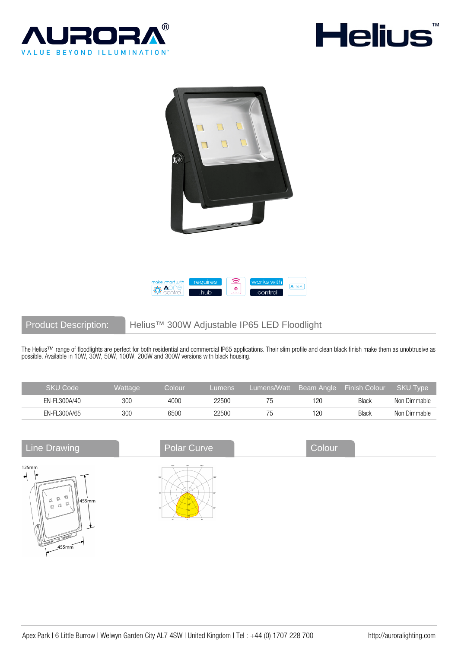







Product Description: Helius™ 300W Adjustable IP65 LED Floodlight

The Helius™ range of floodlights are perfect for both residential and commercial IP65 applications. Their slim profile and clean black finish make them as unobtrusive as possible. Available in 10W, 30W, 50W, 100W, 200W and 300W versions with black housing.

| SKU Code     | <b>Wattage</b> | Colour | Lumens | Lumens/Watt | Beam Angle | ⊾ Finish Colour \ | <b>SKU Type</b> |
|--------------|----------------|--------|--------|-------------|------------|-------------------|-----------------|
| EN-FL300A/40 | 300            | 4000   | 22500  |             | 120        | <b>Black</b>      | Non Dimmable    |
| EN-FL300A/65 | 300            | 6500   | 22500  |             | 120        | <b>Black</b>      | Non Dimmable    |

| <b>Line Drawing</b>                                                                                                                    | <b>Polar Curve</b>                                                          | Colour |
|----------------------------------------------------------------------------------------------------------------------------------------|-----------------------------------------------------------------------------|--------|
| 125mm<br>⇥<br>d<br>d<br>O<br>$\sqrt{455}$ mm<br>d<br>$\textcircled{\scriptsize{1}}$<br>$\textcircled{\scriptsize{1}}$<br>ক<br>$455$ mm | 150<br>180°<br>164<br>1207<br><b>A fair</b><br>$30^{\circ}$<br>- ago<br>on. |        |